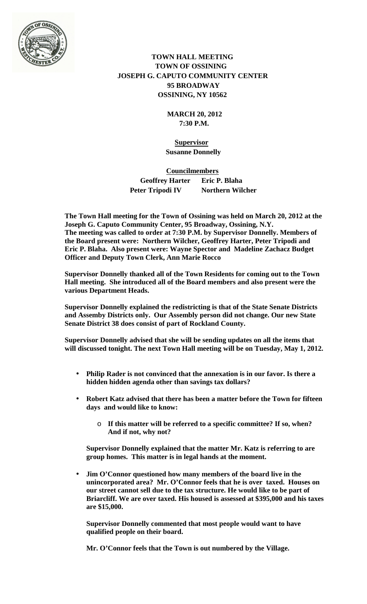

## **TOWN HALL MEETING TOWN OF OSSINING JOSEPH G. CAPUTO COMMUNITY CENTER 95 BROADWAY OSSINING, NY 10562**

 **MARCH 20, 2012 7:30 P.M.**

 **Supervisor Susanne Donnelly**

 **Councilmembers Geoffrey Harter Eric P. Blaha Peter Tripodi IV Northern Wilcher** 

**The Town Hall meeting for the Town of Ossining was held on March 20, 2012 at the Joseph G. Caputo Community Center, 95 Broadway, Ossining, N.Y. The meeting was called to order at 7:30 P.M. by Supervisor Donnelly. Members of the Board present were: Northern Wilcher, Geoffrey Harter, Peter Tripodi and Eric P. Blaha. Also present were: Wayne Spector and Madeline Zachacz Budget Officer and Deputy Town Clerk, Ann Marie Rocco**

**Supervisor Donnelly thanked all of the Town Residents for coming out to the Town Hall meeting. She introduced all of the Board members and also present were the various Department Heads.**

**Supervisor Donnelly explained the redistricting is that of the State Senate Districts and Assemby Districts only. Our Assembly person did not change. Our new State Senate District 38 does consist of part of Rockland County.** 

**Supervisor Donnelly advised that she will be sending updates on all the items that will discussed tonight. The next Town Hall meeting will be on Tuesday, May 1, 2012.** 

- **Philip Rader is not convinced that the annexation is in our favor. Is there a hidden hidden agenda other than savings tax dollars?**
- **Robert Katz advised that there has been a matter before the Town for fifteen days and would like to know:**
	- o **If this matter will be referred to a specific committee? If so, when? And if not, why not?**

**Supervisor Donnelly explained that the matter Mr. Katz is referring to are group homes. This matter is in legal hands at the moment.** 

**Jim O'Connor questioned how many members of the board live in the unincorporated area? Mr. O'Connor feels that he is over taxed. Houses on our street cannot sell due to the tax structure. He would like to be part of Briarcliff. We are over taxed. His housed is assessed at \$395,000 and his taxes are \$15,000.** 

**Supervisor Donnelly commented that most people would want to have qualified people on their board.**

**Mr. O'Connor feels that the Town is out numbered by the Village.**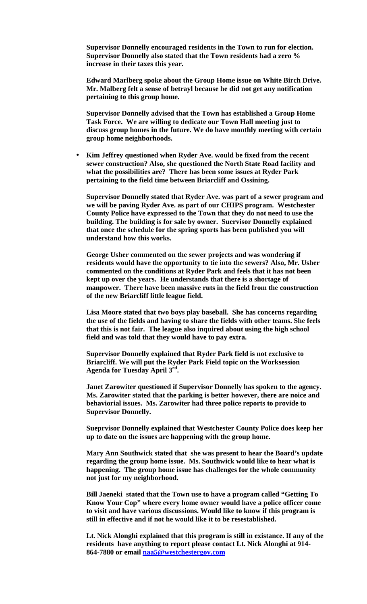**Supervisor Donnelly encouraged residents in the Town to run for election. Supervisor Donnelly also stated that the Town residents had a zero % increase in their taxes this year.** 

**Edward Marlberg spoke about the Group Home issue on White Birch Drive. Mr. Malberg felt a sense of betrayl because he did not get any notification pertaining to this group home.**

**Supervisor Donnelly advised that the Town has established a Group Home Task Force. We are willing to dedicate our Town Hall meeting just to discuss group homes in the future. We do have monthly meeting with certain group home neighborhoods.** 

**Kim Jeffrey questioned when Ryder Ave. would be fixed from the recent sewer construction? Also, she questioned the North State Road facility and what the possibilities are? There has been some issues at Ryder Park pertaining to the field time between Briarcliff and Ossining.** 

**Supervisor Donnelly stated that Ryder Ave. was part of a sewer program and we will be paving Ryder Ave. as part of our CHIPS program. Westchester County Police have expressed to the Town that they do not need to use the building. The building is for sale by owner. Suervisor Donnelly explained that once the schedule for the spring sports has been published you will understand how this works.**

**George Usher commented on the sewer projects and was wondering if residents would have the opportunity to tie into the sewers? Also, Mr. Usher commented on the conditions at Ryder Park and feels that it has not been kept up over the years. He understands that there is a shortage of manpower. There have been massive ruts in the field from the construction of the new Briarcliff little league field.** 

**Lisa Moore stated that two boys play baseball. She has concerns regarding the use of the fields and having to share the fields with other teams. She feels that this is not fair. The league also inquired about using the high school field and was told that they would have to pay extra.** 

**Supervisor Donnelly explained that Ryder Park field is not exclusive to Briarcliff. We will put the Ryder Park Field topic on the Worksession Agenda for Tuesday April 3rd.** 

**Janet Zarowiter questioned if Supervisor Donnelly has spoken to the agency. Ms. Zarowiter stated that the parking is better however, there are noice and behaviorial issues. Ms. Zarowiter had three police reports to provide to Supervisor Donnelly.**

**Sueprvisor Donnelly explained that Westchester County Police does keep her up to date on the issues are happening with the group home.** 

**Mary Ann Southwick stated that she was present to hear the Board's update regarding the group home issue. Ms. Southwick would like to hear what is happening. The group home issue has challenges for the whole community not just for my neighborhood.**

**Bill Jaeneki stated that the Town use to have a program called "Getting To Know Your Cop" where every home owner would have a police officer come to visit and have various discussions. Would like to know if this program is still in effective and if not he would like it to be resestablished.** 

**Lt. Nick Alonghi explained that this program is still in existance. If any of the residents have anything to report please contact Lt. Nick Alonghi at 914- 864-7880 or email [naa5@westchestergov.com](mailto:naa5@westchestergov.com)**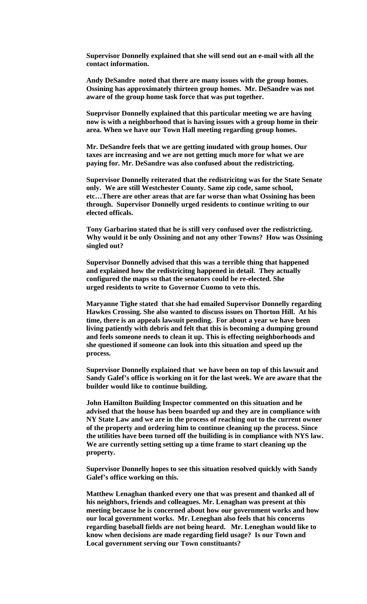**Supervisor Donnelly explained that she will send out an e-mail with all the contact information.**

**Andy DeSandre noted that there are many issues with the group homes. Ossining has approximately thirteen group homes. Mr. DeSandre was not aware of the group home task force that was put together.** 

**Sueprvisor Donnelly explained that this particular meeting we are having now is with a neighborhood that is having issues with a group home in their area. When we have our Town Hall meeting regarding group homes.**

**Mr. DeSandre feels that we are getting inudated with group homes. Our taxes are increasing and we are not getting much more for what we are paying for. Mr. DeSandre was also confused about the redistricting.**

**Supervisor Donnelly reiterated that the redistricitng was for the State Senate only. We are still Westchester County. Same zip code, same school, etc…There are other areas that are far worse than what Ossining has been through. Supervisor Donnelly urged residents to continue writing to our elected officals.** 

**Tony Garbarino stated that he is still very confused over the redistricting. Why would it be only Ossining and not any other Towns? How was Ossining singled out?**

**Supervisor Donnelly advised that this was a terrible thing that happened and explained how the redistricitng happened in detail. They actually configured the maps so that the senators could be re-elected. She urged residents to write to Governor Cuomo to veto this.** 

**Maryanne Tighe stated that she had emailed Supervisor Donnelly regarding Hawkes Crossing. She also wanted to discuss issues on Thorton Hill. At his time, there is an appeals lawsuit pending. For about a year we have been living patiently with debris and felt that this is becoming a dumping ground and feels someone needs to clean it up. This is effecting neighborhoods and she questioned if someone can look into this situation and speed up the process.** 

**Supervisor Donnelly explained that we have been on top of this lawsuit and Sandy Galef's office is working on it for the last week. We are aware that the builder would like to continue building.** 

**John Hamilton Building Inspector commented on this situation and he advised that the house has been boarded up and they are in compliance with NY State Law and we are in the process of reaching out to the current owner of the property and ordering him to continue cleaning up the process. Since the utilities have been turned off the builiding is in compliance with NYS law. We are currently setting setting up a time frame to start cleaning up the property.**

**Supervisor Donnelly hopes to see this situation resolved quickly with Sandy Galef's office working on this.** 

**Matthew Lenaghan thanked every one that was present and thanked all of his neighbors, friends and colleagues. Mr. Lenaghan was present at this meeting because he is concerned about how our government works and how our local government works. Mr. Leneghan also feels that his concerns regarding baseball fields are not being heard. Mr. Leneghan would like to know when decisions are made regarding field usage? Is our Town and Local government serving our Town constituants?**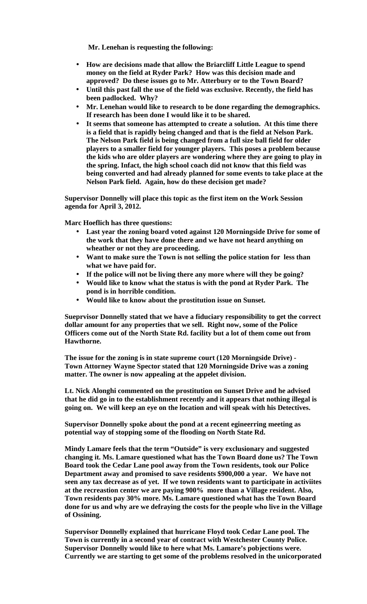**Mr. Lenehan is requesting the following:**

- **How are decisions made that allow the Briarcliff Little League to spend money on the field at Ryder Park? How was this decision made and approved? Do these issues go to Mr. Atterbury or to the Town Board?**
- **Until this past fall the use of the field was exclusive. Recently, the field has been padlocked. Why?**
- **Mr. Lenehan would like to research to be done regarding the demographics. If research has been done I would like it to be shared.**
- **It seems that someone has attempted to create a solution. At this time there is a field that is rapidly being changed and that is the field at Nelson Park. The Nelson Park field is being changed from a full size ball field for older players to a smaller field for younger players. This poses a problem because the kids who are older players are wondering where they are going to play in the spring. Infact, the high school coach did not know that this field was being converted and had already planned for some events to take place at the Nelson Park field. Again, how do these decision get made?**

**Supervisor Donnelly will place this topic as the first item on the Work Session agenda for April 3, 2012.** 

**Marc Hoeflich has three questions:**

- **Last year the zoning board voted against 120 Morningside Drive for some of the work that they have done there and we have not heard anything on wheather or not they are proceeding.**
- **Want to make sure the Town is not selling the police station for less than what we have paid for.**
- **If the police will not be living there any more where will they be going?**
- **Would like to know what the status is with the pond at Ryder Park. The pond is in horrible condition.**
- **Would like to know about the prostitution issue on Sunset.**  $\mathbf{r}$

**Sueprvisor Donnelly stated that we have a fiduciary responsibility to get the correct dollar amount for any properties that we sell. Right now, some of the Police Officers come out of the North State Rd. facility but a lot of them come out from Hawthorne.** 

**The issue for the zoning is in state supreme court (120 Morningside Drive) - Town Attorney Wayne Spector stated that 120 Morningside Drive was a zoning matter. The owner is now appealing at the appelet division.** 

**Lt. Nick Alonghi commented on the prostitution on Sunset Drive and he advised that he did go in to the establishment recently and it appears that nothing illegal is going on. We will keep an eye on the location and will speak with his Detectives.**

**Supervisor Donnelly spoke about the pond at a recent egineerring meeting as potential way of stopping some of the flooding on North State Rd.** 

**Mindy Lamare feels that the term "Outside" is very exclusionary and suggested changing it. Ms. Lamare questioned what has the Town Board done us? The Town Board took the Cedar Lane pool away from the Town residents, took our Police Department away and promised to save residents \$900,000 a year. We have not seen any tax decrease as of yet. If we town residents want to participate in activiites at the recreastion center we are paying 900% more than a Village resident. Also, Town residents pay 30% more. Ms. Lamare questioned what has the Town Board done for us and why are we defraying the costs for the people who live in the Village of Ossining.** 

**Supervisor Donnelly explained that hurricane Floyd took Cedar Lane pool. The Town is currently in a second year of contract with Westchester County Police. Supervisor Donnelly would like to here what Ms. Lamare's pobjections were. Currently we are starting to get some of the problems resolved in the unicorporated**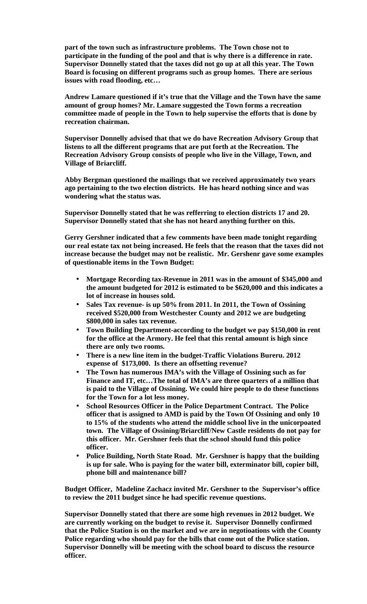**part of the town such as infrastructure problems. The Town chose not to participate in the funding of the pool and that is why there is a difference in rate. Supervisor Donnelly stated that the taxes did not go up at all this year. The Town Board is focusing on different programs such as group homes. There are serious issues with road flooding, etc…**

**Andrew Lamare questioned if it's true that the Village and the Town have the same amount of group homes? Mr. Lamare suggested the Town forms a recreation committee made of people in the Town to help supervise the efforts that is done by recreation chairman.** 

**Supervisor Donnelly advised that that we do have Recreation Advisory Group that listens to all the different programs that are put forth at the Recreation. The Recreation Advisory Group consists of people who live in the Village, Town, and Village of Briarcliff.**

**Abby Bergman questioned the mailings that we received approximately two years ago pertaining to the two election districts. He has heard nothing since and was wondering what the status was.**

**Supervisor Donnelly stated that he was refferring to election districts 17 and 20. Supervisor Donnelly stated that she has not heard anything further on this.** 

**Gerry Gershner indicated that a few comments have been made tonight regarding our real estate tax not being increased. He feels that the reason that the taxes did not increase because the budget may not be realistic. Mr. Gershenr gave some examples of questionable items in the Town Budget:**

- **Mortgage Recording tax-Revenue in 2011 was in the amount of \$345,000 and**  ¥. **the amount budgeted for 2012 is estimated to be \$620,000 and this indicates a lot of increase in houses sold.**
- **Sales Tax revenue- is up 50% from 2011. In 2011, the Town of Ossining received \$520,000 from Westchester County and 2012 we are budgeting \$800,000 in sales tax revenue.**
- **Town Building Department-according to the budget we pay \$150,000 in rent for the office at the Armory. He feel that this rental amount is high since there are only two rooms.**
- **There is a new line item in the budget-Traffic Violations Bureru. 2012**   $\overline{a}$ **expense of \$173,000. Is there an offsetting revenue?**
- **The Town has numerous IMA's with the Village of Ossining such as for Finance and IT, etc…The total of IMA's are three quarters of a million that is paid to the Village of Ossining. We could hire people to do these functions for the Town for a lot less money.**
- **School Resources Officer in the Police Department Contract. The Police officer that is assigned to AMD is paid by the Town Of Ossining and only 10 to 15% of the students who attend the middle school live in the unicorpoated town. The Village of Ossining/Briarcliff/New Castle residents do not pay for this officer. Mr. Gershner feels that the school should fund this police officer.**
- **Police Building, North State Road. Mr. Gershner is happy that the building**   $\mathbf{r}$ **is up for sale. Who is paying for the water bill, exterminator bill, copier bill, phone bill and maintenance bill?**

**Budget Officer, Madeline Zachacz invited Mr. Gershner to the Supervisor's office to review the 2011 budget since he had specific revenue questions.**

**Supervisor Donnelly stated that there are some high revenues in 2012 budget. We are currently working on the budget to revise it. Supervisor Donnelly confirmed that the Police Station is on the market and we are in negotioations with the County Police regarding who should pay for the bills that come out of the Police station. Supervisor Donnelly will be meeting with the school board to discuss the resource officer.**